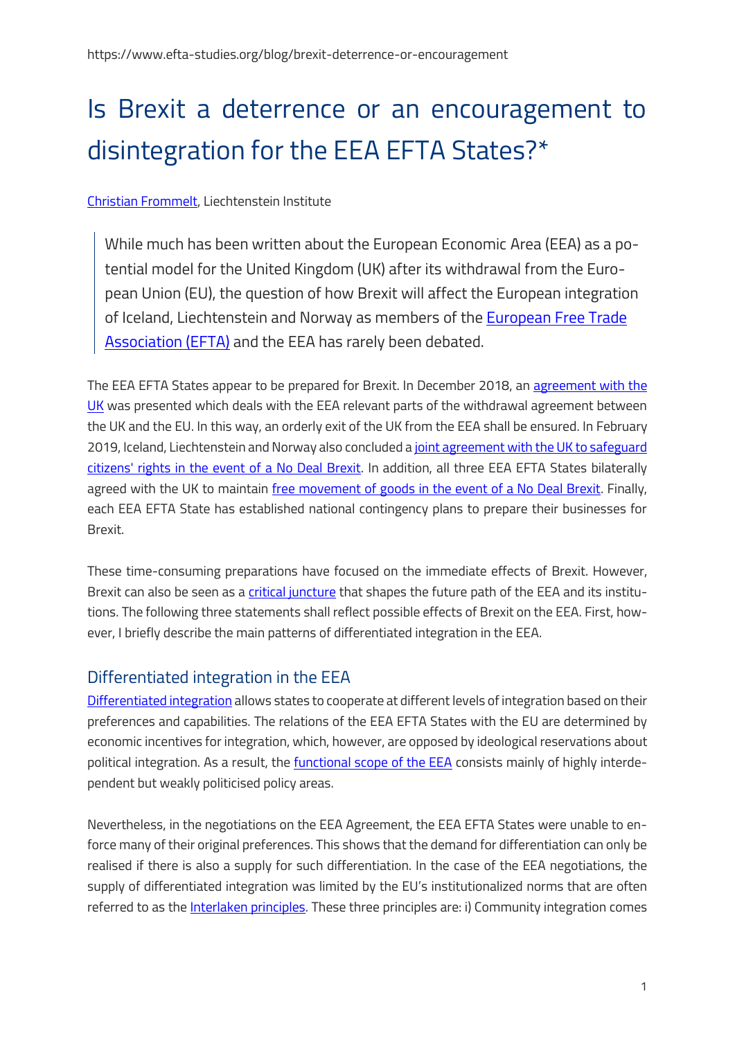# Is Brexit a deterrence or an encouragement to disintegration for the EEA EFTA States?\*

#### [Christian Frommelt,](https://www.liechtenstein-institut.li/de-ch/personen/persondetailsforschungsprofil.aspx?shmid=526&shact=1780393487&shmiid=Dc7hrDbqOLc__eql__) Liechtenstein Institute

While much has been written about the European Economic Area (EEA) as a potential model for the United Kingdom (UK) after its withdrawal from the European Union (EU), the question of how Brexit will affect the European integration of Iceland, Liechtenstein and Norway as members of the [European Free Trade](https://www.efta.int/)  [Association \(EFTA\)](https://www.efta.int/) and the EEA has rarely been debated.

The EEA EFTA States appear to be prepared for Brexit. In December 2018, an [agreement with the](https://www.efta.int/EEA/news/EEA-EFTA-Separation-Agreement-UK-reached-511351)  [UK](https://www.efta.int/EEA/news/EEA-EFTA-Separation-Agreement-UK-reached-511351) was presented which deals with the EEA relevant parts of the withdrawal agreement between the UK and the EU. In this way, an orderly exit of the UK from the EEA shall be ensured. In February 2019, Iceland, Liechtenstein and Norway also concluded a [joint agreement with the UK to safeguard](https://www.efta.int/EEA/news/EEA-EFTA-states-and-UK-strike-agreement-protect-citizens-rights-no-deal-Brexit-scenario-511876)  [citizens' rights in the event of a No Deal Brexit.](https://www.efta.int/EEA/news/EEA-EFTA-states-and-UK-strike-agreement-protect-citizens-rights-no-deal-Brexit-scenario-511876) In addition, all three EEA EFTA States bilaterally agreed with the UK to maintain [free movement of goods in the event of a No Deal Brexit.](https://www.gov.uk/government/news/uk-norway-and-iceland-signtrade-continuity-agreement) Finally, each EEA EFTA State has established national contingency plans to prepare their businesses for Brexit.

These time-consuming preparations have focused on the immediate effects of Brexit. However, Brexit can also be seen as a [critical juncture](https://www.oxfordhandbooks.com/view/10.1093/oxfordhb/9780199662814.001.0001/oxfordhb-9780199662814-e-5) that shapes the future path of the EEA and its institutions. The following three statements shall reflect possible effects of Brexit on the EEA. First, however, I briefly describe the main patterns of differentiated integration in the EEA.

# Differentiated integration in the EEA

[Differentiated integration](http://indiveu.eui.eu/about/) allows states to cooperate at different levels of integration based on their preferences and capabilities. The relations of the EEA EFTA States with the EU are determined by economic incentives for integration, which, however, are opposed by ideological reservations about political integration. As a result, the [functional scope of the EEA](https://www.efta.int/EEA/Policy-Areas-2422) consists mainly of highly interdependent but weakly politicised policy areas.

Nevertheless, in the negotiations on the EEA Agreement, the EEA EFTA States were unable to enforce many of their original preferences. This shows that the demand for differentiation can only be realised if there is also a supply for such differentiation. In the case of the EEA negotiations, the supply of differentiated integration was limited by the EU's institutionalized norms that are often referred to as the *Interlaken principles*. These three principles are: i) Community integration comes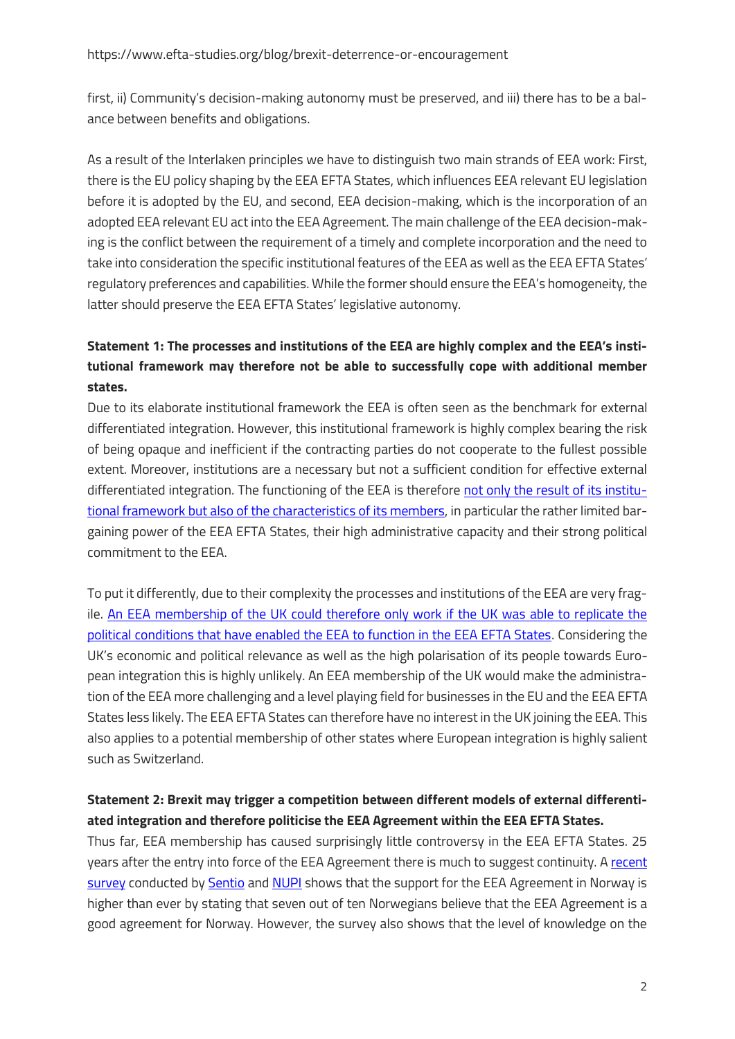first, ii) Community's decision-making autonomy must be preserved, and iii) there has to be a balance between benefits and obligations.

As a result of the Interlaken principles we have to distinguish two main strands of EEA work: First, there is the EU policy shaping by the EEA EFTA States, which influences EEA relevant EU legislation before it is adopted by the EU, and second, EEA decision-making, which is the incorporation of an adopted EEA relevant EU act into the EEA Agreement. The main challenge of the EEA decision-making is the conflict between the requirement of a timely and complete incorporation and the need to take into consideration the specific institutional features of the EEA as well as the EEA EFTA States' regulatory preferences and capabilities. While the former should ensure the EEA's homogeneity, the latter should preserve the EEA EFTA States' legislative autonomy.

## **Statement 1: The processes and institutions of the EEA are highly complex and the EEA's institutional framework may therefore not be able to successfully cope with additional member states.**

Due to its elaborate institutional framework the EEA is often seen as the benchmark for external differentiated integration. However, this institutional framework is highly complex bearing the risk of being opaque and inefficient if the contracting parties do not cooperate to the fullest possible extent. Moreover, institutions are a necessary but not a sufficient condition for effective external differentiated integration. The functioning of the EEA is therefore [not only the result of its institu](https://www.liechtenstein-institut.li/contortionist/0/contortionistUniverses/397/rsc/Publikation_downloadLink/Thesis%20Frommelt%20final.pdf)[tional framework but also of the characteristics of its members,](https://www.liechtenstein-institut.li/contortionist/0/contortionistUniverses/397/rsc/Publikation_downloadLink/Thesis%20Frommelt%20final.pdf) in particular the rather limited bargaining power of the EEA EFTA States, their high administrative capacity and their strong political commitment to the EEA.

To put it differently, due to their complexity the processes and institutions of the EEA are very fragile. [An EEA membership of the UK could therefore only work if the UK was able to replicate the](https://onlinelibrary.wiley.com/doi/abs/10.1111/1467-923X.12684)  [political conditions that have enabled the EEA to function in the EEA EFTA States.](https://onlinelibrary.wiley.com/doi/abs/10.1111/1467-923X.12684) Considering the UK's economic and political relevance as well as the high polarisation of its people towards European integration this is highly unlikely. An EEA membership of the UK would make the administration of the EEA more challenging and a level playing field for businesses in the EU and the EEA EFTA States less likely. The EEA EFTA States can therefore have no interest in the UK joining the EEA. This also applies to a potential membership of other states where European integration is highly salient such as Switzerland.

#### **Statement 2: Brexit may trigger a competition between different models of external differentiated integration and therefore politicise the EEA Agreement within the EEA EFTA States.**

Thus far, EEA membership has caused surprisingly little controversy in the EEA EFTA States. 25 years after the entry into force of the EEA Agreement there is much to suggest continuity. A [recent](https://www.nupi.no/Nyheter/Analyse-Holdninger-til-EOES-avtalen-etter-25-aar-Stor-oppslutning-men-lite-kunnskap)  [survey](https://www.nupi.no/Nyheter/Analyse-Holdninger-til-EOES-avtalen-etter-25-aar-Stor-oppslutning-men-lite-kunnskap) conducted by [Sentio](http://sentio.no/) an[d NUPI](https://www.nupi.no/) shows that the support for the EEA Agreement in Norway is higher than ever by stating that seven out of ten Norwegians believe that the EEA Agreement is a good agreement for Norway. However, the survey also shows that the level of knowledge on the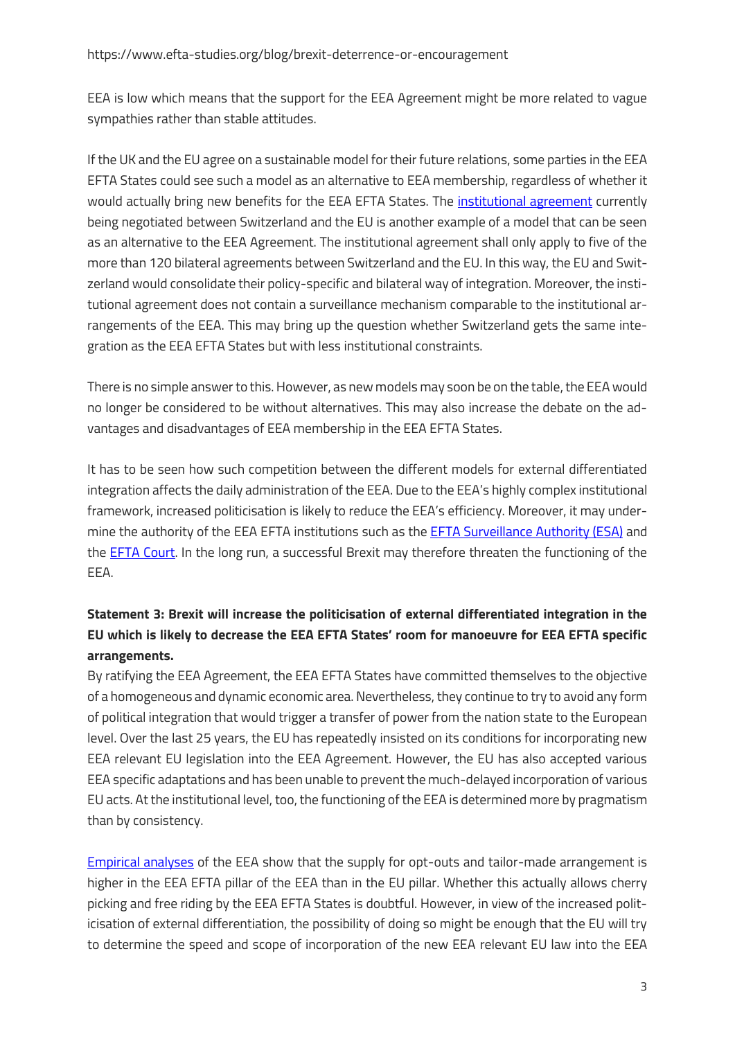EEA is low which means that the support for the EEA Agreement might be more related to vague sympathies rather than stable attitudes.

If the UK and the EU agree on a sustainable model for their future relations, some parties in the EEA EFTA States could see such a model as an alternative to EEA membership, regardless of whether it would actually bring new benefits for the EEA EFTA States. The [institutional agreement](https://www.fdfa.admin.ch/dea/en/home/verhandlungen-offene-themen/verhandlungen/institutionelles-abkommen.html) currently being negotiated between Switzerland and the EU is another example of a model that can be seen as an alternative to the EEA Agreement. The institutional agreement shall only apply to five of the more than 120 bilateral agreements between Switzerland and the EU. In this way, the EU and Switzerland would consolidate their policy-specific and bilateral way of integration. Moreover, the institutional agreement does not contain a surveillance mechanism comparable to the institutional arrangements of the EEA. This may bring up the question whether Switzerland gets the same integration as the EEA EFTA States but with less institutional constraints.

There is no simple answer to this. However, as new models may soon be on the table, the EEA would no longer be considered to be without alternatives. This may also increase the debate on the advantages and disadvantages of EEA membership in the EEA EFTA States.

It has to be seen how such competition between the different models for external differentiated integration affects the daily administration of the EEA. Due to the EEA's highly complex institutional framework, increased politicisation is likely to reduce the EEA's efficiency. Moreover, it may undermine the authority of the EEA EFTA institutions such as the **EFTA Surveillance Authority (ESA)** and the [EFTA Court.](https://eftacourt.int/) In the long run, a successful Brexit may therefore threaten the functioning of the EEA.

## **Statement 3: Brexit will increase the politicisation of external differentiated integration in the EU which is likely to decrease the EEA EFTA States' room for manoeuvre for EEA EFTA specific arrangements.**

By ratifying the EEA Agreement, the EEA EFTA States have committed themselves to the objective of a homogeneous and dynamic economic area. Nevertheless, they continue to try to avoid any form of political integration that would trigger a transfer of power from the nation state to the European level. Over the last 25 years, the EU has repeatedly insisted on its conditions for incorporating new EEA relevant EU legislation into the EEA Agreement. However, the EU has also accepted various EEA specific adaptations and has been unable to prevent the much-delayed incorporation of various EU acts. At the institutional level, too, the functioning of the EEA is determined more by pragmatism than by consistency.

[Empirical analyses](https://www.liechtenstein-institut.li/contortionist/0/contortionistUniverses/397/rsc/Publikation_downloadLink/Thesis%20Frommelt%20final.pdf) of the EEA show that the supply for opt-outs and tailor-made arrangement is higher in the EEA EFTA pillar of the EEA than in the EU pillar. Whether this actually allows cherry picking and free riding by the EEA EFTA States is doubtful. However, in view of the increased politicisation of external differentiation, the possibility of doing so might be enough that the EU will try to determine the speed and scope of incorporation of the new EEA relevant EU law into the EEA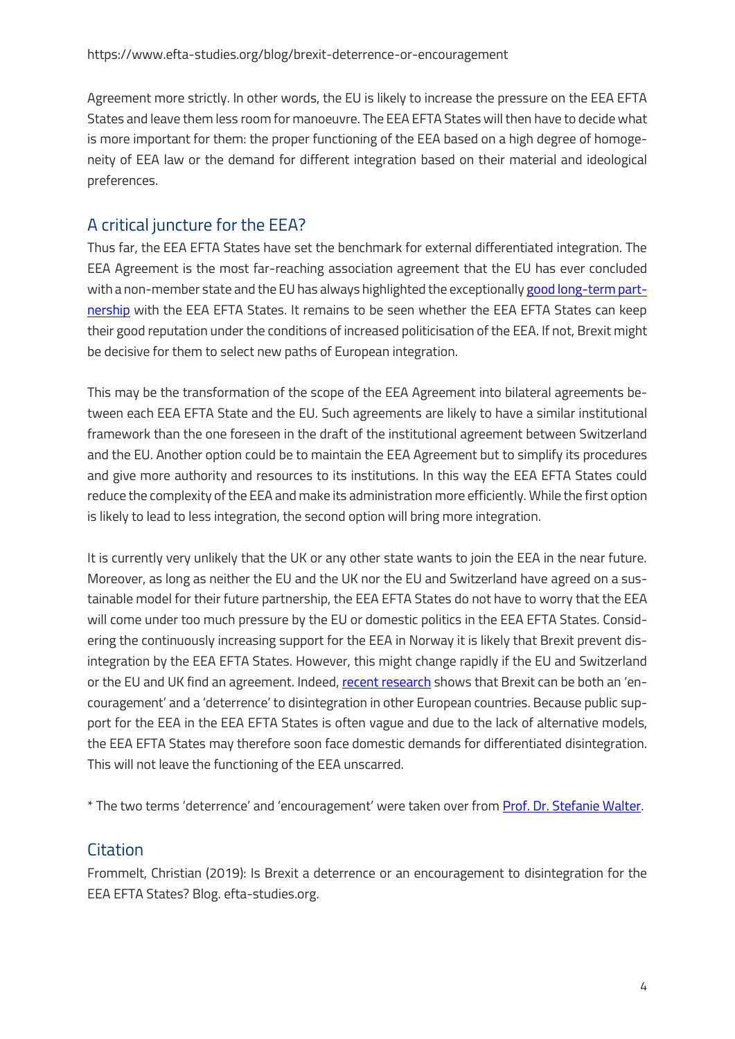Agreement more strictly. In other words, the EU is likely to increase the pressure on the EEA EFTA States and leave them less room for manoeuvre. The EEA EFTA States will then have to decide what is more important for them: the proper functioning of the EEA based on a high degree of homogeneity of EEA law or the demand for different integration based on their material and ideological preferences.

# A critical juncture for the EEA?

Thus far, the EEA EFTA States have set the benchmark for external differentiated integration. The EEA Agreement is the most far-reaching association agreement that the EU has ever concluded with a non-member state and the EU has always highlighted the exceptionall[y good long-term part](https://www.efta.int/EEA/news/EEA-EFTA-Prime-Ministers-and-EU-council-celebrate-25-years-European-Economic-Area-512671)[nership](https://www.efta.int/EEA/news/EEA-EFTA-Prime-Ministers-and-EU-council-celebrate-25-years-European-Economic-Area-512671) with the EEA EFTA States. It remains to be seen whether the EEA EFTA States can keep their good reputation under the conditions of increased politicisation of the EEA. If not, Brexit might be decisive for them to select new paths of European integration.

This may be the transformation of the scope of the EEA Agreement into bilateral agreements between each EEA EFTA State and the EU. Such agreements are likely to have a similar institutional framework than the one foreseen in the draft of the institutional agreement between Switzerland and the EU. Another option could be to maintain the EEA Agreement but to simplify its procedures and give more authority and resources to its institutions. In this way the EEA EFTA States could reduce the complexity of the EEA and make its administration more efficiently. While the first option is likely to lead to less integration, the second option will bring more integration.

It is currently very unlikely that the UK or any other state wants to join the EEA in the near future. Moreover, as long as neither the EU and the UK nor the EU and Switzerland have agreed on a sustainable model for their future partnership, the EEA EFTA States do not have to worry that the EEA will come under too much pressure by the EU or domestic politics in the EEA EFTA States. Considering the continuously increasing support for the EEA in Norway it is likely that Brexit prevent disintegration by the EEA EFTA States. However, this might change rapidly if the EU and Switzerland or the EU and UK find an agreement. Indeed, [recent research](http://pwiweb2.uzh.ch/wordpress/disintegration/wp-content/uploads/sites/2/2019/11/Walter.Contagion.ECSA_.pdf) shows that Brexit can be both an 'encouragement' and a 'deterrence' to disintegration in other European countries. Because public support for the EEA in the EEA EFTA States is often vague and due to the lack of alternative models, the EEA EFTA States may therefore soon face domestic demands for differentiated disintegration. This will not leave the functioning of the EEA unscarred.

\* The two terms 'deterrence' and 'encouragement' were taken over from [Prof. Dr. Stefanie Walter.](https://www.disintegration.ch/) 

# **Citation**

Frommelt, Christian (2019): Is Brexit a deterrence or an encouragement to disintegration for the EEA EFTA States? Blog. efta-studies.org.